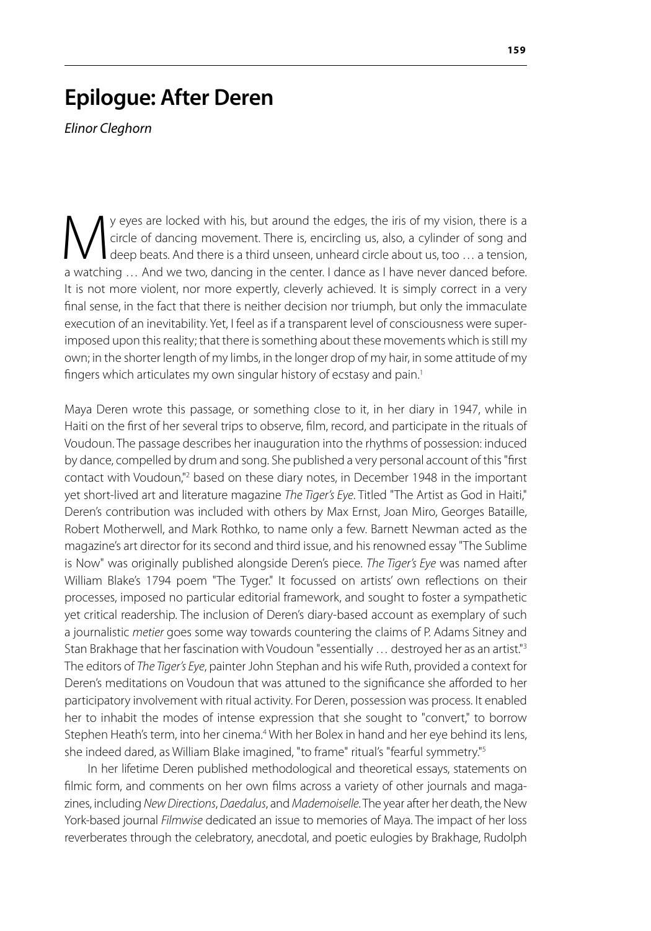## **Epilogue: After Deren**

*Elinor Cleghorn*

Weyes are locked with his, but around the edges, the iris of my vision, there is a circle of dancing movement. There is, encircling us, also, a cylinder of song and deep beats. And there is a third unseen, unheard circle a circle of dancing movement. There is, encircling us, also, a cylinder of song and deep beats. And there is a third unseen, unheard circle about us, too … a tension, a watching … And we two, dancing in the center. I dance as I have never danced before. It is not more violent, nor more expertly, cleverly achieved. It is simply correct in a very final sense, in the fact that there is neither decision nor triumph, but only the immaculate execution of an inevitability. Yet, I feel as if a transparent level of consciousness were superimposed upon this reality; that there is something about these movements which is still my own; in the shorter length of my limbs, in the longer drop of my hair, in some attitude of my fingers which articulates my own singular history of ecstasy and pain.<sup>1</sup>

Maya Deren wrote this passage, or something close to it, in her diary in 1947, while in Haiti on the first of her several trips to observe, film, record, and participate in the rituals of Voudoun. The passage describes her inauguration into the rhythms of possession: induced by dance, compelled by drum and song. She published a very personal account of this "first contact with Voudoun,"<sup>2</sup> based on these diary notes, in December 1948 in the important yet short-lived art and literature magazine *The Tiger's Eye*. Titled "The Artist as God in Haiti," Deren's contribution was included with others by Max Ernst, Joan Miro, Georges Bataille, Robert Motherwell, and Mark Rothko, to name only a few. Barnett Newman acted as the magazine's art director for its second and third issue, and his renowned essay "The Sublime is Now" was originally published alongside Deren's piece. *The Tiger's Eye* was named after William Blake's 1794 poem "The Tyger." It focussed on artists' own reflections on their processes, imposed no particular editorial framework, and sought to foster a sympathetic yet critical readership. The inclusion of Deren's diary-based account as exemplary of such a journalistic *metier* goes some way towards countering the claims of P. Adams Sitney and Stan Brakhage that her fascination with Voudoun "essentially ... destroyed her as an artist."<sup>3</sup> The editors of *The Tiger's Eye*, painter John Stephan and his wife Ruth, provided a context for Deren's meditations on Voudoun that was attuned to the significance she afforded to her participatory involvement with ritual activity. For Deren, possession was process. It enabled her to inhabit the modes of intense expression that she sought to "convert," to borrow Stephen Heath's term, into her cinema.<sup>4</sup> With her Bolex in hand and her eye behind its lens, she indeed dared, as William Blake imagined, "to frame" ritual's "fearful symmetry."5

In her lifetime Deren published methodological and theoretical essays, statements on filmic form, and comments on her own films across a variety of other journals and magazines, including *New Directions*, *Daedalus*, and *Mademoiselle*. The year after her death, the New York-based journal *Filmwise* dedicated an issue to memories of Maya. The impact of her loss reverberates through the celebratory, anecdotal, and poetic eulogies by Brakhage, Rudolph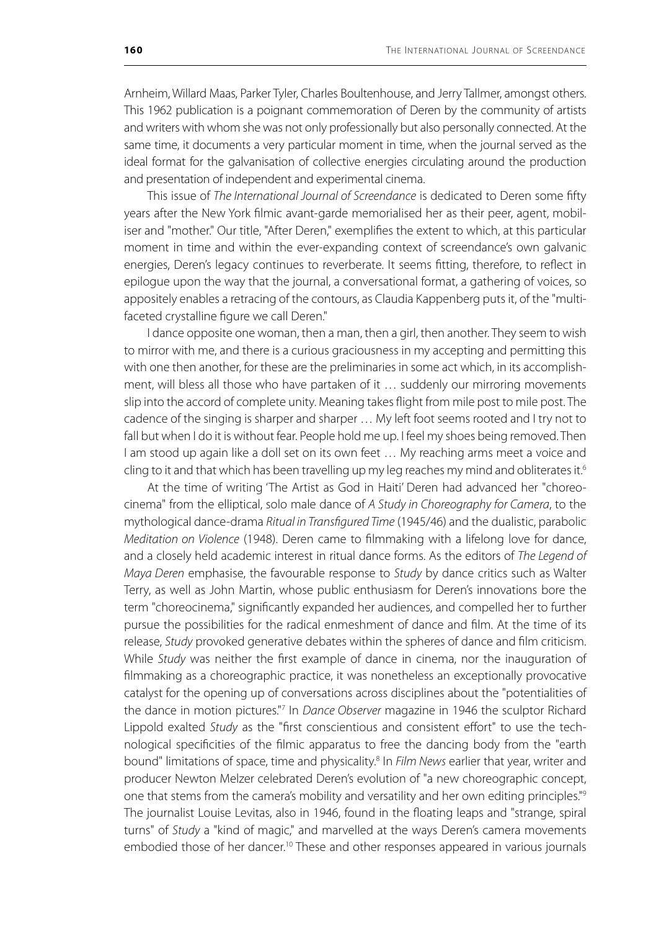Arnheim, Willard Maas, Parker Tyler, Charles Boultenhouse, and Jerry Tallmer, amongst others. This 1962 publication is a poignant commemoration of Deren by the community of artists and writers with whom she was not only professionally but also personally connected. At the same time, it documents a very particular moment in time, when the journal served as the ideal format for the galvanisation of collective energies circulating around the production and presentation of independent and experimental cinema.

This issue of *The International Journal of Screendance* is dedicated to Deren some fifty years after the New York filmic avant-garde memorialised her as their peer, agent, mobiliser and "mother." Our title, "After Deren," exemplifies the extent to which, at this particular moment in time and within the ever-expanding context of screendance's own galvanic energies, Deren's legacy continues to reverberate. It seems fitting, therefore, to reflect in epilogue upon the way that the journal, a conversational format, a gathering of voices, so appositely enables a retracing of the contours, as Claudia Kappenberg puts it, of the "multifaceted crystalline figure we call Deren."

I dance opposite one woman, then a man, then a girl, then another. They seem to wish to mirror with me, and there is a curious graciousness in my accepting and permitting this with one then another, for these are the preliminaries in some act which, in its accomplishment, will bless all those who have partaken of it … suddenly our mirroring movements slip into the accord of complete unity. Meaning takes flight from mile post to mile post. The cadence of the singing is sharper and sharper … My left foot seems rooted and I try not to fall but when I do it is without fear. People hold me up. I feel my shoes being removed. Then I am stood up again like a doll set on its own feet ... My reaching arms meet a voice and cling to it and that which has been travelling up my leg reaches my mind and obliterates it.<sup>6</sup>

At the time of writing 'The Artist as God in Haiti' Deren had advanced her "choreocinema" from the elliptical, solo male dance of *A Study in Choreography for Camera*, to the mythological dance-drama *Ritual in Transfigured Time* (1945/46) and the dualistic, parabolic *Meditation on Violence* (1948). Deren came to filmmaking with a lifelong love for dance, and a closely held academic interest in ritual dance forms. As the editors of *The Legend of Maya Deren* emphasise, the favourable response to *Study* by dance critics such as Walter Terry, as well as John Martin, whose public enthusiasm for Deren's innovations bore the term "choreocinema," significantly expanded her audiences, and compelled her to further pursue the possibilities for the radical enmeshment of dance and film. At the time of its release, *Study* provoked generative debates within the spheres of dance and film criticism. While *Study* was neither the first example of dance in cinema, nor the inauguration of filmmaking as a choreographic practice, it was nonetheless an exceptionally provocative catalyst for the opening up of conversations across disciplines about the "potentialities of the dance in motion pictures."7 In *Dance Observer* magazine in 1946 the sculptor Richard Lippold exalted *Study* as the "first conscientious and consistent effort" to use the technological specificities of the filmic apparatus to free the dancing body from the "earth bound" limitations of space, time and physicality.<sup>8</sup> In *Film News* earlier that year, writer and producer Newton Melzer celebrated Deren's evolution of "a new choreographic concept, one that stems from the camera's mobility and versatility and her own editing principles."9 The journalist Louise Levitas, also in 1946, found in the floating leaps and "strange, spiral turns" of *Study* a "kind of magic," and marvelled at the ways Deren's camera movements embodied those of her dancer.<sup>10</sup> These and other responses appeared in various journals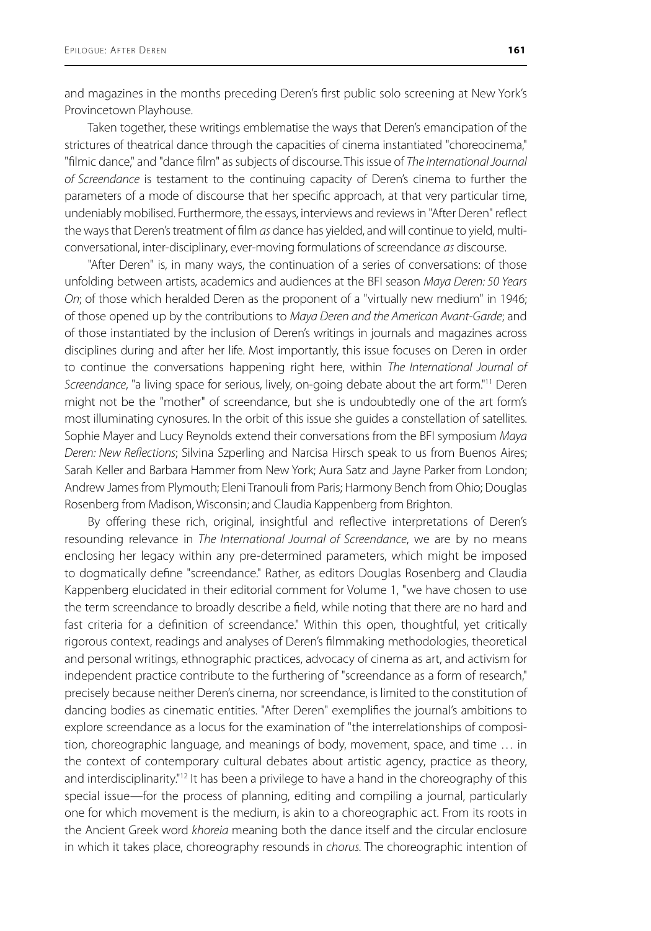and magazines in the months preceding Deren's first public solo screening at New York's Provincetown Playhouse.

Taken together, these writings emblematise the ways that Deren's emancipation of the strictures of theatrical dance through the capacities of cinema instantiated "choreocinema," "filmic dance," and "dance film" as subjects of discourse. This issue of *The International Journal of Screendance* is testament to the continuing capacity of Deren's cinema to further the parameters of a mode of discourse that her specific approach, at that very particular time, undeniably mobilised. Furthermore, the essays, interviews and reviews in "After Deren" reflect the ways that Deren's treatment of film *as* dance has yielded, and will continue to yield, multiconversational, inter-disciplinary, ever-moving formulations of screendance *as* discourse.

"After Deren" is, in many ways, the continuation of a series of conversations: of those unfolding between artists, academics and audiences at the BFI season *Maya Deren: 50 Years On*; of those which heralded Deren as the proponent of a "virtually new medium" in 1946; of those opened up by the contributions to *Maya Deren and the American Avant-Garde*; and of those instantiated by the inclusion of Deren's writings in journals and magazines across disciplines during and after her life. Most importantly, this issue focuses on Deren in order to continue the conversations happening right here, within *The International Journal of Screendance*, "a living space for serious, lively, on-going debate about the art form."11 Deren might not be the "mother" of screendance, but she is undoubtedly one of the art form's most illuminating cynosures. In the orbit of this issue she guides a constellation of satellites. Sophie Mayer and Lucy Reynolds extend their conversations from the BFI symposium *Maya Deren: New Reflections*; Silvina Szperling and Narcisa Hirsch speak to us from Buenos Aires; Sarah Keller and Barbara Hammer from New York; Aura Satz and Jayne Parker from London; Andrew James from Plymouth; Eleni Tranouli from Paris; Harmony Bench from Ohio; Douglas Rosenberg from Madison, Wisconsin; and Claudia Kappenberg from Brighton.

By offering these rich, original, insightful and reflective interpretations of Deren's resounding relevance in *The International Journal of Screendance*, we are by no means enclosing her legacy within any pre-determined parameters, which might be imposed to dogmatically define "screendance." Rather, as editors Douglas Rosenberg and Claudia Kappenberg elucidated in their editorial comment for Volume 1, "we have chosen to use the term screendance to broadly describe a field, while noting that there are no hard and fast criteria for a definition of screendance." Within this open, thoughtful, yet critically rigorous context, readings and analyses of Deren's filmmaking methodologies, theoretical and personal writings, ethnographic practices, advocacy of cinema as art, and activism for independent practice contribute to the furthering of "screendance as a form of research," precisely because neither Deren's cinema, nor screendance, is limited to the constitution of dancing bodies as cinematic entities. "After Deren" exemplifies the journal's ambitions to explore screendance as a locus for the examination of "the interrelationships of composition, choreographic language, and meanings of body, movement, space, and time … in the context of contemporary cultural debates about artistic agency, practice as theory, and interdisciplinarity."<sup>12</sup> It has been a privilege to have a hand in the choreography of this special issue—for the process of planning, editing and compiling a journal, particularly one for which movement is the medium, is akin to a choreographic act. From its roots in the Ancient Greek word *khoreia* meaning both the dance itself and the circular enclosure in which it takes place, choreography resounds in *chorus.* The choreographic intention of